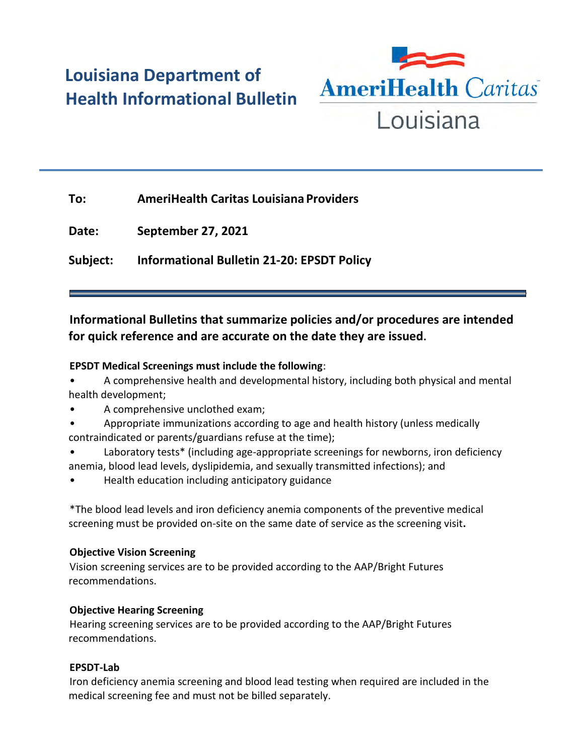# **Louisiana Department of Health Informational Bulletin**



| To:      | <b>AmeriHealth Caritas Louisiana Providers</b> |
|----------|------------------------------------------------|
| Date:    | <b>September 27, 2021</b>                      |
| Subject: | Informational Bulletin 21-20: EPSDT Policy     |

# **Informational Bulletins that summarize policies and/or procedures are intended for quick reference and are accurate on the date they are issued.**

## **EPSDT Medical Screenings must include the following**:

• A comprehensive health and developmental history, including both physical and mental health development;

- A comprehensive unclothed exam;
- Appropriate immunizations according to age and health history (unless medically contraindicated or parents/guardians refuse at the time);
- Laboratory tests\* (including age-appropriate screenings for newborns, iron deficiency anemia, blood lead levels, dyslipidemia, and sexually transmitted infections); and
- Health education including anticipatory guidance

\*The blood lead levels and iron deficiency anemia components of the preventive medical screening must be provided on-site on the same date of service as the screening visit**.**

#### **Objective Vision Screening**

Vision screening services are to be provided according to the AAP/Bright Futures recommendations.

#### **Objective Hearing Screening**

Hearing screening services are to be provided according to the AAP/Bright Futures recommendations.

## **EPSDT-Lab**

Iron deficiency anemia screening and blood lead testing when required are included in the medical screening fee and must not be billed separately.